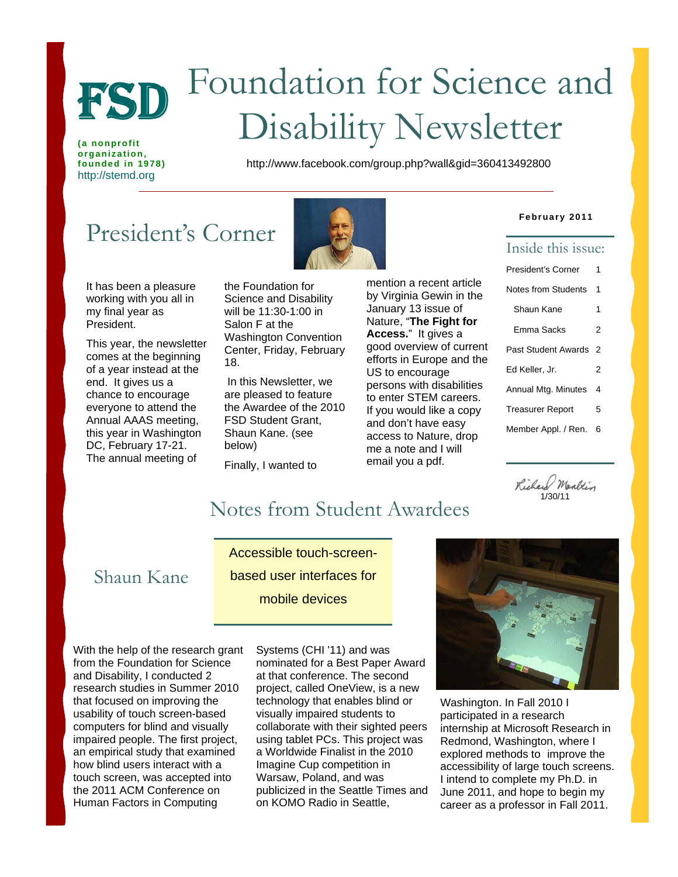

# Foundation for Science and FSD FOUNDATION FOR SCIENCE

**(a nonprofit organization,**  http://stemd.org

**founded in 1978)** http://www.facebook.com/group.php?wall&gid=360413492800

# President's Corner

It has been a pleasure working with you all in my final year as President.

This year, the newsletter comes at the beginning of a year instead at the end. It gives us a chance to encourage everyone to attend the Annual AAAS meeting, this year in Washington DC, February 17-21. The annual meeting of



the Foundation for Science and Disability will be 11:30-1:00 in Salon F at the Washington Convention Center, Friday, February 18.

 In this Newsletter, we are pleased to feature the Awardee of the 2010 FSD Student Grant, Shaun Kane. (see below)

Finally, I wanted to

mention a recent article by Virginia Gewin in the January 13 issue of Nature, "**The Fight for Access.**" It gives a good overview of current efforts in Europe and the US to encourage persons with disabilities to enter STEM careers. If you would like a copy and don't have easy access to Nature, drop me a note and I will email you a pdf.

#### **February 2011**

#### Inside this issue:

| President's Corner         |   |
|----------------------------|---|
| Notes from Students        |   |
| Shaun Kane                 | 1 |
| Emma Sacks                 | 2 |
| <b>Past Student Awards</b> |   |
| Ed Keller, Jr.             |   |
| Annual Mtg. Minutes        |   |
| <b>Treasurer Report</b>    |   |
| Member Appl. / Ren.        | 6 |
|                            |   |

Richard Marltin 1/30/11

# Notes from Student Awardees

### Shaun Kane

Accessible touch-screenbased user interfaces for mobile devices

With the help of the research grant from the Foundation for Science and Disability, I conducted 2 research studies in Summer 2010 that focused on improving the usability of touch screen-based computers for blind and visually impaired people. The first project, an empirical study that examined how blind users interact with a touch screen, was accepted into the 2011 ACM Conference on Human Factors in Computing

Systems (CHI '11) and was nominated for a Best Paper Award at that conference. The second project, called OneView, is a new technology that enables blind or visually impaired students to collaborate with their sighted peers using tablet PCs. This project was a Worldwide Finalist in the 2010 Imagine Cup competition in Warsaw, Poland, and was publicized in the Seattle Times and on KOMO Radio in Seattle,



Washington. In Fall 2010 I participated in a research internship at Microsoft Research in Redmond, Washington, where I explored methods to improve the accessibility of large touch screens. I intend to complete my Ph.D. in June 2011, and hope to begin my career as a professor in Fall 2011.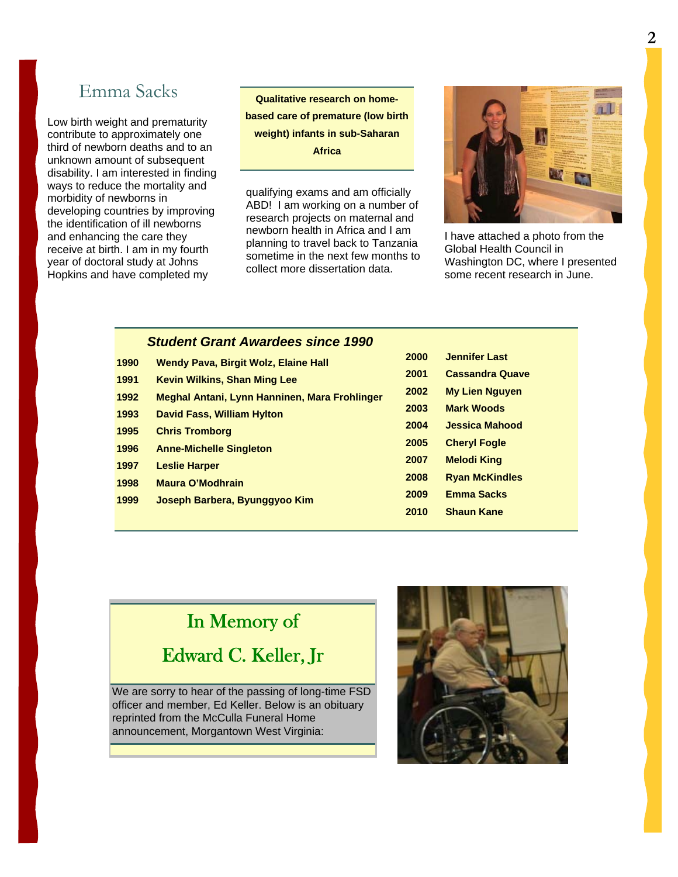### Emma Sacks

Low birth weight and prematurity contribute to approximately one third of newborn deaths and to an unknown amount of subsequent disability. I am interested in finding ways to reduce the mortality and morbidity of newborns in developing countries by improving the identification of ill newborns and enhancing the care they receive at birth. I am in my fourth year of doctoral study at Johns Hopkins and have completed my

**Qualitative research on homebased care of premature (low birth weight) infants in sub-Saharan Africa** 

qualifying exams and am officially ABD! I am working on a number of research projects on maternal and newborn health in Africa and I am planning to travel back to Tanzania sometime in the next few months to collect more dissertation data.



I have attached a photo from the Global Health Council in Washington DC, where I presented some recent research in June.

#### *Student Grant Awardees since 1990*

**2000 Jennifer Last 2001 Cassandra Quave 2002 My Lien Nguyen 2003 Mark Woods 2004 Jessica Mahood 2005 Cheryl Fogle 2007 Melodi King 2008 Ryan McKindles 2009 Emma Sacks 2010 Shaun Kane 1990 Wendy Pava, Birgit Wolz, Elaine Hall 1991 Kevin Wilkins, Shan Ming Lee 1992 Meghal Antani, Lynn Hanninen, Mara Frohlinger 1993 David Fass, William Hylton 1995 Chris Tromborg 1996 Anne-Michelle Singleton 1997 Leslie Harper 1998 Maura O'Modhrain 1999 Joseph Barbera, Byunggyoo Kim** 

# In Memory of

Edward C. Keller, Jr

We are sorry to hear of the passing of long-time FSD officer and member, Ed Keller. Below is an obituary reprinted from the McCulla Funeral Home announcement, Morgantown West Virginia:

Ï

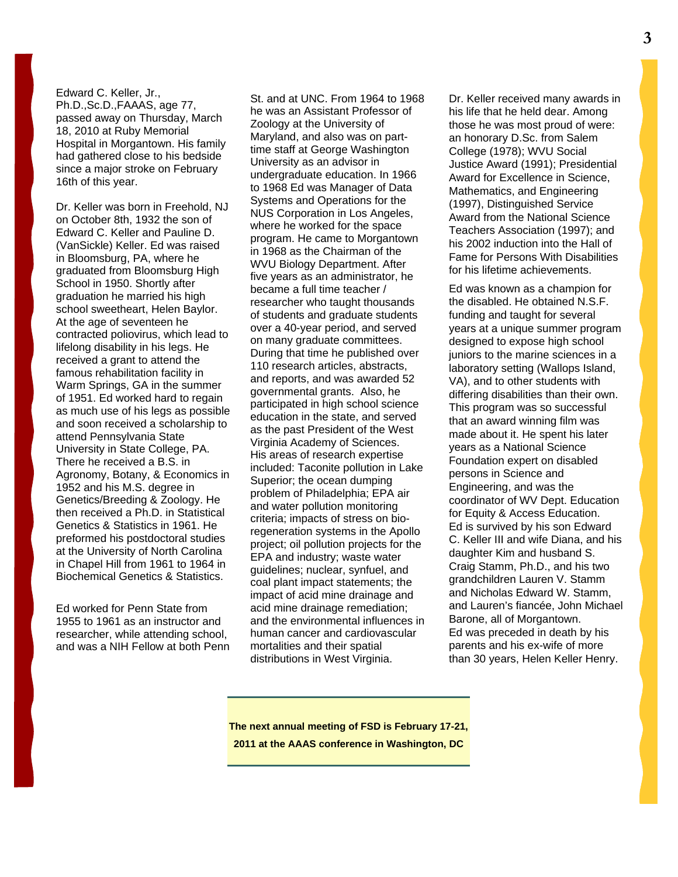#### Edward C. Keller, Jr.,

Ph.D.,Sc.D.,FAAAS, age 77, passed away on Thursday, March 18, 2010 at Ruby Memorial Hospital in Morgantown. His family had gathered close to his bedside since a major stroke on February 16th of this year.

Dr. Keller was born in Freehold, NJ on October 8th, 1932 the son of Edward C. Keller and Pauline D. (VanSickle) Keller. Ed was raised in Bloomsburg, PA, where he graduated from Bloomsburg High School in 1950. Shortly after graduation he married his high school sweetheart, Helen Baylor. At the age of seventeen he contracted poliovirus, which lead to lifelong disability in his legs. He received a grant to attend the famous rehabilitation facility in Warm Springs, GA in the summer of 1951. Ed worked hard to regain as much use of his legs as possible and soon received a scholarship to attend Pennsylvania State University in State College, PA. There he received a B.S. in Agronomy, Botany, & Economics in 1952 and his M.S. degree in Genetics/Breeding & Zoology. He then received a Ph.D. in Statistical Genetics & Statistics in 1961. He preformed his postdoctoral studies at the University of North Carolina in Chapel Hill from 1961 to 1964 in Biochemical Genetics & Statistics.

Ed worked for Penn State from 1955 to 1961 as an instructor and researcher, while attending school, and was a NIH Fellow at both Penn

St. and at UNC. From 1964 to 1968 he was an Assistant Professor of Zoology at the University of Maryland, and also was on parttime staff at George Washington University as an advisor in undergraduate education. In 1966 to 1968 Ed was Manager of Data Systems and Operations for the NUS Corporation in Los Angeles, where he worked for the space program. He came to Morgantown in 1968 as the Chairman of the WVU Biology Department. After five years as an administrator, he became a full time teacher / researcher who taught thousands of students and graduate students over a 40-year period, and served on many graduate committees. During that time he published over 110 research articles, abstracts, and reports, and was awarded 52 governmental grants. Also, he participated in high school science education in the state, and served as the past President of the West Virginia Academy of Sciences. His areas of research expertise included: Taconite pollution in Lake Superior; the ocean dumping problem of Philadelphia; EPA air and water pollution monitoring criteria; impacts of stress on bioregeneration systems in the Apollo project; oil pollution projects for the EPA and industry; waste water guidelines; nuclear, synfuel, and coal plant impact statements; the impact of acid mine drainage and acid mine drainage remediation; and the environmental influences in human cancer and cardiovascular mortalities and their spatial distributions in West Virginia.

Dr. Keller received many awards in his life that he held dear. Among those he was most proud of were: an honorary D.Sc. from Salem College (1978); WVU Social Justice Award (1991); Presidential Award for Excellence in Science, Mathematics, and Engineering (1997), Distinguished Service Award from the National Science Teachers Association (1997); and his 2002 induction into the Hall of Fame for Persons With Disabilities for his lifetime achievements.

Ed was known as a champion for the disabled. He obtained N.S.F. funding and taught for several years at a unique summer program designed to expose high school juniors to the marine sciences in a laboratory setting (Wallops Island, VA), and to other students with differing disabilities than their own. This program was so successful that an award winning film was made about it. He spent his later years as a National Science Foundation expert on disabled persons in Science and Engineering, and was the coordinator of WV Dept. Education for Equity & Access Education. Ed is survived by his son Edward C. Keller III and wife Diana, and his daughter Kim and husband S. Craig Stamm, Ph.D., and his two grandchildren Lauren V. Stamm and Nicholas Edward W. Stamm, and Lauren's fiancée, John Michael Barone, all of Morgantown. Ed was preceded in death by his parents and his ex-wife of more than 30 years, Helen Keller Henry.

**The next annual meeting of FSD is February 17-21, 2011 at the AAAS conference in Washington, DC**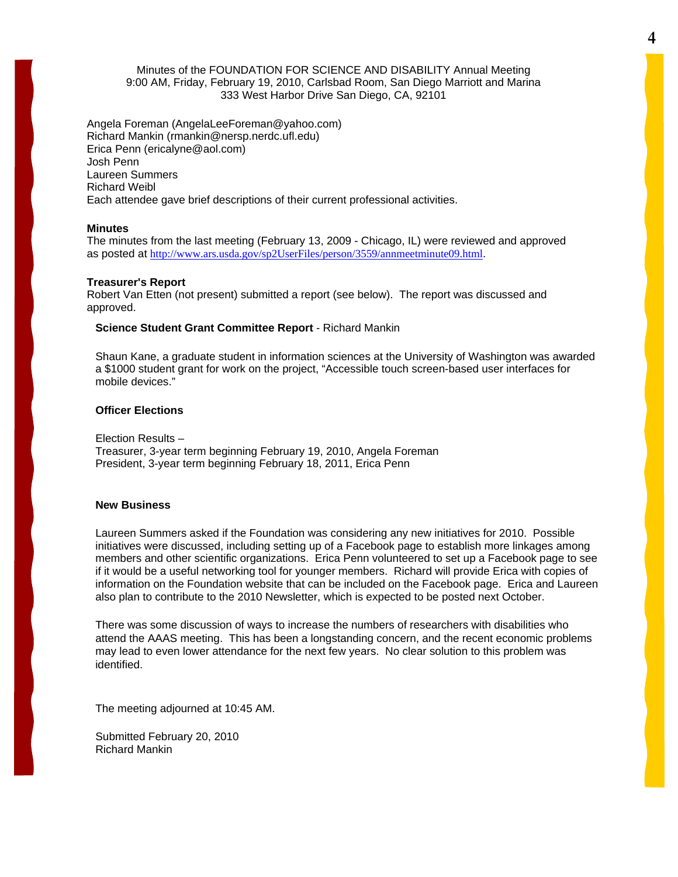#### Minutes of the FOUNDATION FOR SCIENCE AND DISABILITY Annual Meeting 9:00 AM, Friday, February 19, 2010, Carlsbad Room, San Diego Marriott and Marina 333 West Harbor Drive San Diego, CA, 92101

Angela Foreman (AngelaLeeForeman@yahoo.com) Richard Mankin (rmankin@nersp.nerdc.ufl.edu) Erica Penn (ericalyne@aol.com) Josh Penn Laureen Summers Richard Weibl Each attendee gave brief descriptions of their current professional activities.

#### **Minutes**

The minutes from the last meeting (February 13, 2009 - Chicago, IL) were reviewed and approved as posted at <http://www.ars.usda.gov/sp2UserFiles/person/3559/annmeetminute09.html>.

#### **Treasurer's Report**

Robert Van Etten (not present) submitted a report (see below). The report was discussed and approved.

#### **Science Student Grant Committee Report** - Richard Mankin

Shaun Kane, a graduate student in information sciences at the University of Washington was awarded a \$1000 student grant for work on the project, "Accessible touch screen-based user interfaces for mobile devices."

#### **Officer Elections**

Election Results – Treasurer, 3-year term beginning February 19, 2010, Angela Foreman President, 3-year term beginning February 18, 2011, Erica Penn

#### **New Business**

Laureen Summers asked if the Foundation was considering any new initiatives for 2010. Possible initiatives were discussed, including setting up of a Facebook page to establish more linkages among members and other scientific organizations. Erica Penn volunteered to set up a Facebook page to see if it would be a useful networking tool for younger members. Richard will provide Erica with copies of information on the Foundation website that can be included on the Facebook page. Erica and Laureen also plan to contribute to the 2010 Newsletter, which is expected to be posted next October.

There was some discussion of ways to increase the numbers of researchers with disabilities who attend the AAAS meeting. This has been a longstanding concern, and the recent economic problems may lead to even lower attendance for the next few years. No clear solution to this problem was identified.

The meeting adjourned at 10:45 AM.

Submitted February 20, 2010 Richard Mankin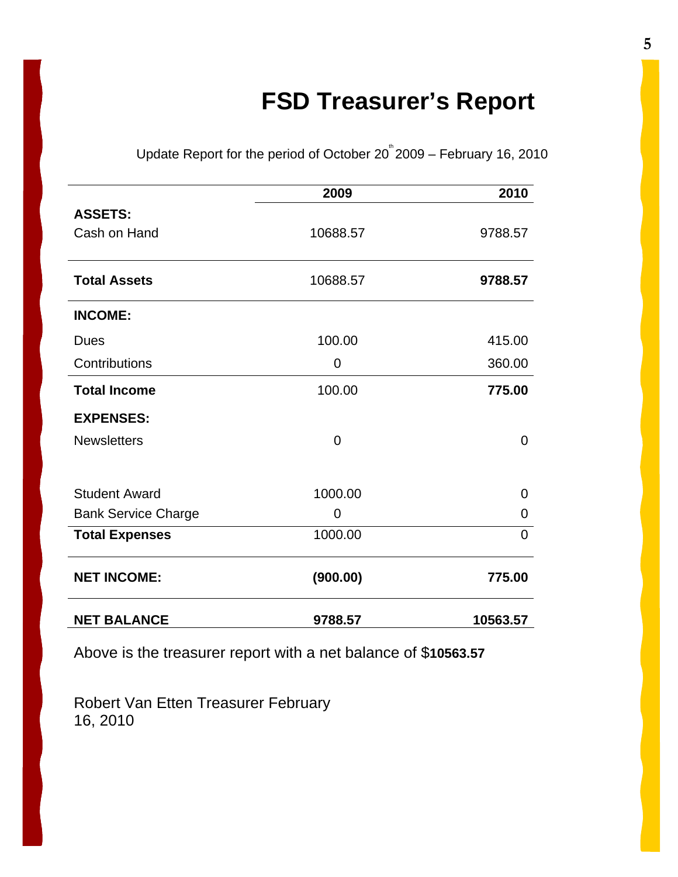# **FSD Treasurer's Report**

Update Report for the period of October  $20^{\degree}2009$  – February 16, 2010

|                            | 2009     | 2010           |
|----------------------------|----------|----------------|
| <b>ASSETS:</b>             |          |                |
| Cash on Hand               | 10688.57 | 9788.57        |
| <b>Total Assets</b>        | 10688.57 | 9788.57        |
| <b>INCOME:</b>             |          |                |
| <b>Dues</b>                | 100.00   | 415.00         |
| Contributions              | 0        | 360.00         |
| <b>Total Income</b>        | 100.00   | 775.00         |
| <b>EXPENSES:</b>           |          |                |
| <b>Newsletters</b>         | $\Omega$ | 0              |
|                            |          |                |
| <b>Student Award</b>       | 1000.00  | $\overline{0}$ |
| <b>Bank Service Charge</b> | 0        | $\mathbf 0$    |
| <b>Total Expenses</b>      | 1000.00  | $\overline{0}$ |
| <b>NET INCOME:</b>         | (900.00) | 775.00         |
| <b>NET BALANCE</b>         | 9788.57  | 10563.57       |

Above is the treasurer report with a net balance of \$**10563.57** 

Robert Van Etten Treasurer February 16, 2010